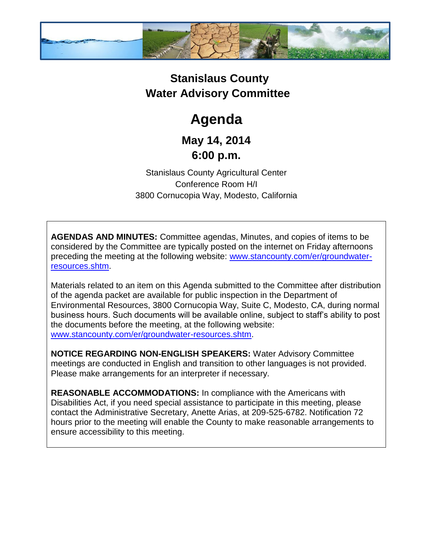

## **Stanislaus County Water Advisory Committee**

# **Agenda**

### **May 14, 2014 6:00 p.m.**

Stanislaus County Agricultural Center Conference Room H/I 3800 Cornucopia Way, Modesto, California

**AGENDAS AND MINUTES:** Committee agendas, Minutes, and copies of items to be considered by the Committee are typically posted on the internet on Friday afternoons preceding the meeting at the following website: [www.stancounty.com/er/groundwater](http://www.stancounty.com/er/groundwater-resources.shtm)[resources.shtm.](http://www.stancounty.com/er/groundwater-resources.shtm)

Materials related to an item on this Agenda submitted to the Committee after distribution of the agenda packet are available for public inspection in the Department of Environmental Resources, 3800 Cornucopia Way, Suite C, Modesto, CA, during normal business hours. Such documents will be available online, subject to staff's ability to post the documents before the meeting, at the following website: [www.stancounty.com/er/groundwater-resources.shtm.](http://www.stancounty.com/er/groundwater-resources.shtm)

**NOTICE REGARDING NON-ENGLISH SPEAKERS:** Water Advisory Committee meetings are conducted in English and transition to other languages is not provided. Please make arrangements for an interpreter if necessary.

**REASONABLE ACCOMMODATIONS:** In compliance with the Americans with Disabilities Act, if you need special assistance to participate in this meeting, please contact the Administrative Secretary, Anette Arias, at 209-525-6782. Notification 72 hours prior to the meeting will enable the County to make reasonable arrangements to ensure accessibility to this meeting.